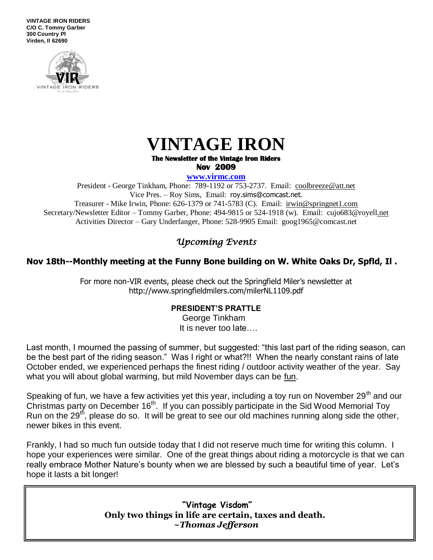**VINTAGE IRON RIDERS C/O C. Tommy Garber 300 Country Pl Virden, Il 62690**



# **VINTAGE IRON**

#### **The Newsletter of the Vintage Iron Riders Nov 2009**

**www.virmc.com** 

President - George Tinkham, Phone: 789-1192 or 753-2737. Email: [coolbreeze@att.net](mailto:coolbreeze@att.net) Vice Pres. – Roy Sims, Email: [roy.sims@comcast.net.](mailto:roy.sims@comcast.net) Treasurer - Mike Irwin, Phone: 626-1379 or 741-5783 (C). Email: irwin@springnet1.com Secretary/Newsletter Editor – Tommy Garber, Phone: 494-9815 or 524-1918 (w). Email: cujo683@royell.net Activities Director – Gary Underfanger, Phone: 528-9905 Email: goog1965@comcast.net

# *Upcoming Events*

## **Nov 18th--Monthly meeting at the Funny Bone building on W. White Oaks Dr, Spfld, Il .**

For more non-VIR events, please check out the Springfield Miler's newsletter at http://www.springfieldmilers.com/milerNL1109.pdf

#### **PRESIDENT'S PRATTLE**

 George Tinkham It is never too late….

Last month, I mourned the passing of summer, but suggested: "this last part of the riding season, can be the best part of the riding season." Was I right or what?!! When the nearly constant rains of late October ended, we experienced perhaps the finest riding / outdoor activity weather of the year. Say what you will about global warming, but mild November days can be fun.

Speaking of fun, we have a few activities yet this year, including a toy run on November 29<sup>th</sup> and our Christmas party on December 16<sup>th</sup>. If you can possibly participate in the Sid Wood Memorial Toy Run on the 29<sup>th</sup>, please do so. It will be great to see our old machines running along side the other, newer bikes in this event.

Frankly, I had so much fun outside today that I did not reserve much time for writing this column. I hope your experiences were similar. One of the great things about riding a motorcycle is that we can really embrace Mother Nature's bounty when we are blessed by such a beautiful time of year. Let's hope it lasts a bit longer!

> **"Vintage Visdom" Only two things in life are certain, taxes and death.** *~Thomas Jefferson*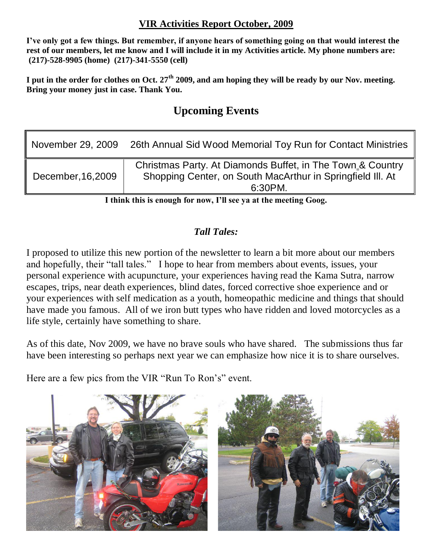## **VIR Activities Report October, 2009**

**I've only got a few things. But remember, if anyone hears of something going on that would interest the rest of our members, let me know and I will include it in my Activities article. My phone numbers are: (217)-528-9905 (home) (217)-341-5550 (cell)**

**I put in the order for clothes on Oct. 27th 2009, and am hoping they will be ready by our Nov. meeting. Bring your money just in case. Thank You.**

# **Upcoming Events**

| November 29, 2009  | 26th Annual Sid Wood Memorial Toy Run for Contact Ministries                                                                        |  |  |  |
|--------------------|-------------------------------------------------------------------------------------------------------------------------------------|--|--|--|
| December, 16, 2009 | Christmas Party. At Diamonds Buffet, in The Town & Country<br>Shopping Center, on South MacArthur in Springfield III. At<br>6:30PM. |  |  |  |

**I think this is enough for now, I'll see ya at the meeting Goog.**

# *Tall Tales:*

I proposed to utilize this new portion of the newsletter to learn a bit more about our members and hopefully, their "tall tales." I hope to hear from members about events, issues, your personal experience with acupuncture, your experiences having read the Kama Sutra, narrow escapes, trips, near death experiences, blind dates, forced corrective shoe experience and or your experiences with self medication as a youth, homeopathic medicine and things that should have made you famous. All of we iron butt types who have ridden and loved motorcycles as a life style, certainly have something to share.

As of this date, Nov 2009, we have no brave souls who have shared. The submissions thus far have been interesting so perhaps next year we can emphasize how nice it is to share ourselves.

Here are a few pics from the VIR "Run To Ron's" event.

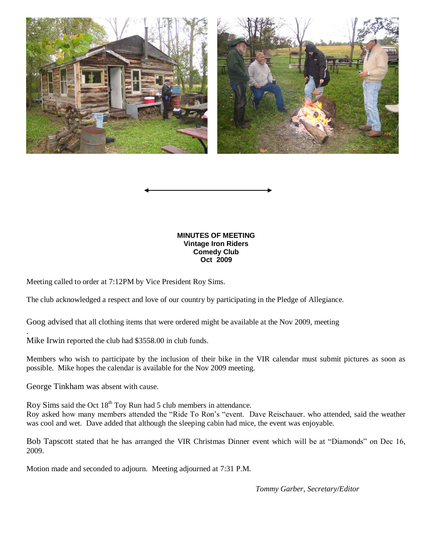



Meeting called to order at 7:12PM by Vice President Roy Sims.

The club acknowledged a respect and love of our country by participating in the Pledge of Allegiance.

Goog advised that all clothing items that were ordered might be available at the Nov 2009, meeting

Mike Irwin reported the club had \$3558.00 in club funds.

Members who wish to participate by the inclusion of their bike in the VIR calendar must submit pictures as soon as possible. Mike hopes the calendar is available for the Nov 2009 meeting.

George Tinkham was absent with cause.

.

Roy Sims said the Oct 18<sup>th</sup> Toy Run had 5 club members in attendance. Roy asked how many members attended the "Ride To Ron's "event. Dave Reischauer. who attended, said the weather was cool and wet. Dave added that although the sleeping cabin had mice, the event was enjoyable.

Bob Tapscott stated that he has arranged the VIR Christmas Dinner event which will be at "Diamonds" on Dec 16, 2009.

Motion made and seconded to adjourn. Meeting adjourned at 7:31 P.M.

*Tommy Garber, Secretary/Editor*